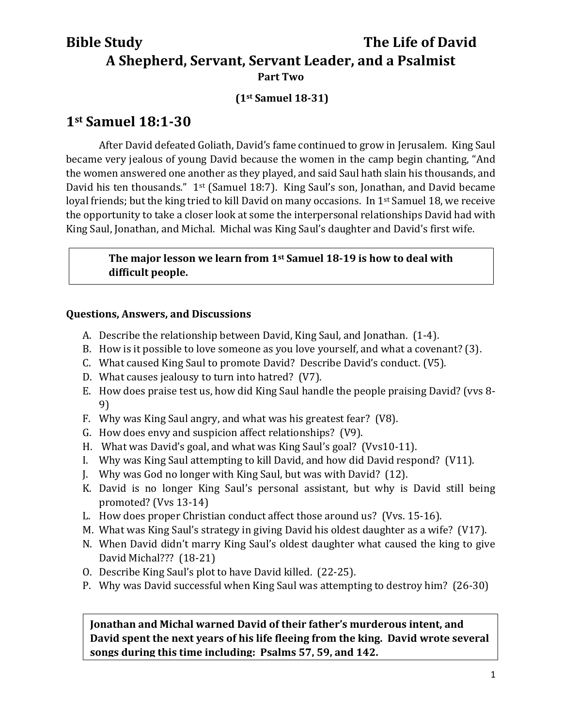### **(1st Samuel 18-31)**

## **1st Samuel 18:1-30**

After David defeated Goliath, David's fame continued to grow in Jerusalem. King Saul became very jealous of young David because the women in the camp begin chanting, "And the women answered one another as they played, and said Saul hath slain his thousands, and David his ten thousands." 1<sup>st</sup> (Samuel 18:7). King Saul's son, Jonathan, and David became loyal friends; but the king tried to kill David on many occasions. In 1<sup>st</sup> Samuel 18, we receive the opportunity to take a closer look at some the interpersonal relationships David had with King Saul, Jonathan, and Michal. Michal was King Saul's daughter and David's first wife.

#### **The major lesson we learn from 1st Samuel 18-19 is how to deal with difficult people.**

#### **Questions, Answers, and Discussions**

- A. Describe the relationship between David, King Saul, and Jonathan. (1-4).
- B. How is it possible to love someone as you love yourself, and what a covenant? (3).
- C. What caused King Saul to promote David? Describe David's conduct. (V5).
- D. What causes jealousy to turn into hatred? (V7).
- E. How does praise test us, how did King Saul handle the people praising David? (vvs 8- 9)
- F. Why was King Saul angry, and what was his greatest fear? (V8).
- G. How does envy and suspicion affect relationships? (V9).
- H. What was David's goal, and what was King Saul's goal? (Vvs10-11).
- I. Why was King Saul attempting to kill David, and how did David respond? (V11).
- J. Why was God no longer with King Saul, but was with David? (12).
- K. David is no longer King Saul's personal assistant, but why is David still being promoted? (Vvs 13-14)
- L. How does proper Christian conduct affect those around us? (Vvs. 15-16).
- M. What was King Saul's strategy in giving David his oldest daughter as a wife? (V17).
- N. When David didn't marry King Saul's oldest daughter what caused the king to give David Michal??? (18-21)
- O. Describe King Saul's plot to have David killed. (22-25).
- P. Why was David successful when King Saul was attempting to destroy him? (26-30)

#### **Jonathan and Michal warned David of their father's murderous intent, and David spent the next years of his life fleeing from the king. David wrote several songs during this time including: Psalms 57, 59, and 142.**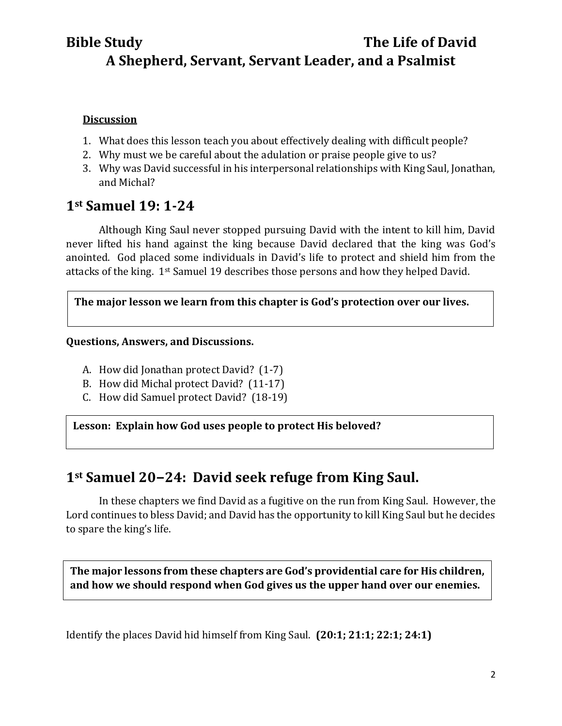### **Discussion**

- 1. What does this lesson teach you about effectively dealing with difficult people?
- 2. Why must we be careful about the adulation or praise people give to us?
- 3. Why was David successful in his interpersonal relationships with King Saul, Jonathan, and Michal?

## **1st Samuel 19: 1-24**

Although King Saul never stopped pursuing David with the intent to kill him, David never lifted his hand against the king because David declared that the king was God's anointed. God placed some individuals in David's life to protect and shield him from the attacks of the king. 1st Samuel 19 describes those persons and how they helped David.

## **The major lesson we learn from this chapter is God's protection over our lives.**

### **Questions, Answers, and Discussions.**

- A. How did Jonathan protect David? (1-7)
- B. How did Michal protect David? (11-17)
- C. How did Samuel protect David? (18-19)

**Lesson: Explain how God uses people to protect His beloved?**

## **1st Samuel 20−24: David seek refuge from King Saul.**

In these chapters we find David as a fugitive on the run from King Saul. However, the Lord continues to bless David; and David has the opportunity to kill King Saul but he decides to spare the king's life.

**The major lessons from these chapters are God's providential care for His children, and how we should respond when God gives us the upper hand over our enemies.**

Identify the places David hid himself from King Saul. **(20:1; 21:1; 22:1; 24:1)**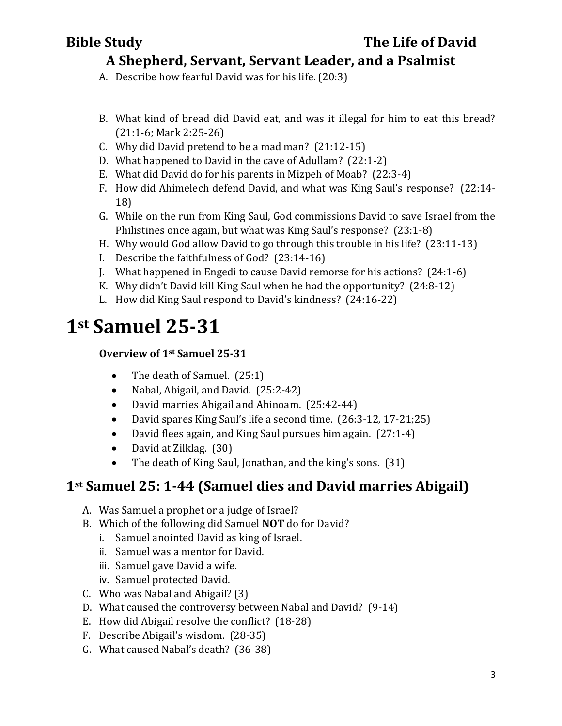# **Bible Study The Life of David**

## **A Shepherd, Servant, Servant Leader, and a Psalmist**

- A. Describe how fearful David was for his life. (20:3)
- B. What kind of bread did David eat, and was it illegal for him to eat this bread? (21:1-6; Mark 2:25-26)
- C. Why did David pretend to be a mad man? (21:12-15)
- D. What happened to David in the cave of Adullam? (22:1-2)
- E. What did David do for his parents in Mizpeh of Moab? (22:3-4)
- F. How did Ahimelech defend David, and what was King Saul's response? (22:14- 18)
- G. While on the run from King Saul, God commissions David to save Israel from the Philistines once again, but what was King Saul's response? (23:1-8)
- H. Why would God allow David to go through this trouble in his life? (23:11-13)
- I. Describe the faithfulness of God? (23:14-16)
- J. What happened in Engedi to cause David remorse for his actions? (24:1-6)
- K. Why didn't David kill King Saul when he had the opportunity? (24:8-12)
- L. How did King Saul respond to David's kindness? (24:16-22)

# **1st Samuel 25-31**

## **Overview of 1st Samuel 25-31**

- The death of Samuel. (25:1)
- Nabal, Abigail, and David. (25:2-42)
- David marries Abigail and Ahinoam. (25:42-44)
- David spares King Saul's life a second time. (26:3-12, 17-21;25)
- David flees again, and King Saul pursues him again. (27:1-4)
- David at Zilklag. (30)
- The death of King Saul, Jonathan, and the king's sons. (31)

## **1st Samuel 25: 1-44 (Samuel dies and David marries Abigail)**

- A. Was Samuel a prophet or a judge of Israel?
- B. Which of the following did Samuel **NOT** do for David?
	- i. Samuel anointed David as king of Israel.
	- ii. Samuel was a mentor for David.
	- iii. Samuel gave David a wife.
	- iv. Samuel protected David.
- C. Who was Nabal and Abigail? (3)
- D. What caused the controversy between Nabal and David? (9-14)
- E. How did Abigail resolve the conflict? (18-28)
- F. Describe Abigail's wisdom. (28-35)
- G. What caused Nabal's death? (36-38)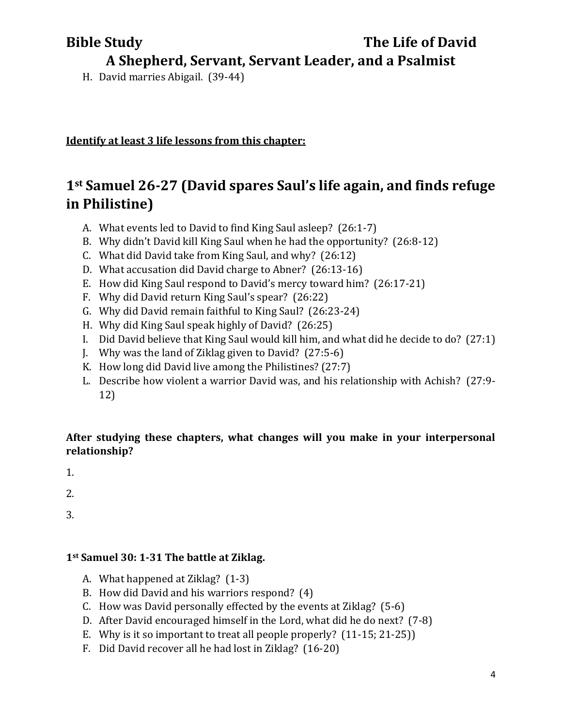H. David marries Abigail. (39-44)

## **Identify at least 3 life lessons from this chapter:**

## **1st Samuel 26-27 (David spares Saul's life again, and finds refuge in Philistine)**

- A. What events led to David to find King Saul asleep? (26:1-7)
- B. Why didn't David kill King Saul when he had the opportunity? (26:8-12)
- C. What did David take from King Saul, and why? (26:12)
- D. What accusation did David charge to Abner? (26:13-16)
- E. How did King Saul respond to David's mercy toward him? (26:17-21)
- F. Why did David return King Saul's spear? (26:22)
- G. Why did David remain faithful to King Saul? (26:23-24)
- H. Why did King Saul speak highly of David? (26:25)
- I. Did David believe that King Saul would kill him, and what did he decide to do? (27:1)
- J. Why was the land of Ziklag given to David? (27:5-6)
- K. How long did David live among the Philistines? (27:7)
- L. Describe how violent a warrior David was, and his relationship with Achish? (27:9- 12)

### **After studying these chapters, what changes will you make in your interpersonal relationship?**

1.

2.

3.

### **1st Samuel 30: 1-31 The battle at Ziklag.**

- A. What happened at Ziklag? (1-3)
- B. How did David and his warriors respond? (4)
- C. How was David personally effected by the events at Ziklag? (5-6)
- D. After David encouraged himself in the Lord, what did he do next? (7-8)
- E. Why is it so important to treat all people properly? (11-15; 21-25))
- F. Did David recover all he had lost in Ziklag? (16-20)